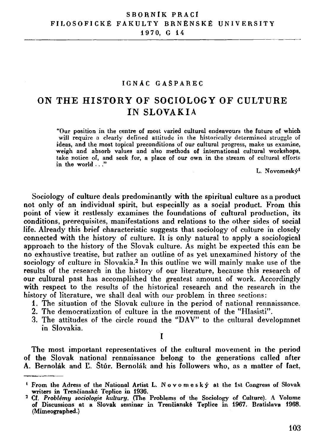### **IGNA C GASPARE C**

# **ON TH E HISTOR Y OF SOCIOLOGY OF CULTUR E IN SLOVAKIA**

**"Our position in the centre of most varied cultural endeavours the future of which**  will require a clearly defined attitude in the historically determined struggle of **ideas, and the most topical preconditions of our cultural progress, make us examine, weigh and absorb values and also methods of international cultural workshops, take notice of, and seek for, a place of our own in the stream of cultural efforts in the world . . ."** 

**L. Novomesky<sup>1</sup>**

**Sociology of culture deals predominantly with the spiritual culture as a product not only of an individual spirit, but especially as a social product. From this point of view it restlessly examines the foundations of cultural production, its conditions, prerequisites, manifestations and relations to the other sides of social life. Already this brief characteristic suggests that sociology of culture in closely connected with the history of culture. It is only natural to apply a sociological approach to the history of the Slovak culture. As might be expected this can be no exhaustive treatise, but rather an outline of as yet unexamined history of the sociology of culture in Slovakia.<sup>2</sup> In this outline we will mainly make use of the results of the research in the history of our literature, because this research of our cultural past has accomplished the greatest amount of work. Accordingly with respect to the results of the historical research and the research in the history of literature, we shall deal with our problem in three sections:** 

- **1. The situation of the Slovak culture in the period of national rennaissance.**
- **2. The democratization of culture in the movement of the "Hlasisti".**
- **3. The attitudes of the circle round the "DAV" to the cultural developmnet in Slovakia.**

**I** 

**The most important representatives of the cultural movement in the period of the Slovak national rennaissance belong to the generations called after A. Bernolak and II. Stur. Bernolak and his followers who, as a matter of fact,** 

**From the Adress of the National Artist L. Novomesk y at the 1st Congress of Slovak writers in Trencianske Teplice in 1936.** 

**Cf.** *Problemy sociologie kultury.* **(The Problems of the Sociology of Culture). A Volume of Discussions at a Slovak seminar in Trencianske Teplice in 1967. Bratislava 1968. (Mimeographed.)**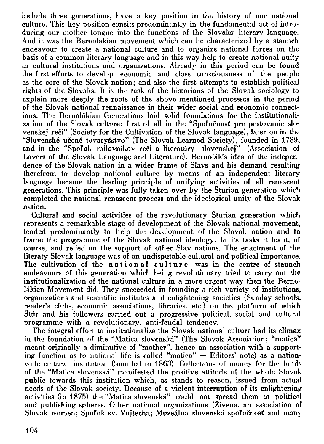**include three generations, have a key position in the history of our national culture. This key position consits predominantly in the fundamental act of introducing our mother tongue into the functions of the Slovaks' literary language. And it was the Bernolakian movement which can be characterized by a staunch endeavour to create a national culture and to organize national forces on the basis of a common literary language and in this way help to create national unity in cultural institutions and organizations. Already in this period can be found the first efforts to develop economic and class consciousness of the people as the core of the Slovak nation; and also the first attempts to establish political rights of the Slovaks. It is the task of the historians of the Slovak sociology to explain more deeply the roots of the above mentioned processes in the period of the Slovak national rennaissance in their wider social and economic connections. The Bernolakian Generations laid solid foundations for the institutionalization of the Slovak culture: first of all in the "Spofocnosf pre pestovanie slovenskej reci" (Society for the Cultivation of the Slovak language), later on in the "Slovenske ucene tovarysstvo" (The Slovak Learned Society), founded in 1789,**  and in the "Spol'ok milovníkov reči a literatúry slovenskej" (Association of Lovers of the Slovak Language and Literature). Bernolak's idea of the indepen**dence of the Slovak nation in a wider frame of Slavs and his demand resulting therefrom to develop national culture by means of an independent literary language became the leading principle of unifying activities of all renascent generations. This principle was fully taken over by the Sturian generation which completed the national renascent process and the ideological unity of the Slovak nation.** 

**Cultural and social activities of the revolutionary Sturian generation which represents a remarkable stage of development of the Slovak national movement, tended predominantly to help the development of the Slovak nation and to frame the programme of the Slovak national ideology. In its tasks it leant, of course, and relied on the support of other Slav nations. The enactment of the literaty Slovak language was of an undisputable cultural and political importance.**  The cultivation of the national culture was in the centre of staunch **endeavours of this generation which being revolutionary tried to carry out the institutionalization of the national culture in a more urgent way then the Bernolakian Movement did. They succeeded in founding a rich variety of institutions, organizations and scientific institutes and enlightening societies (Sunday schools, reader's clubs, economic associations, libraries, etc.) on the platform of which Stur and his followers carried out a progressive political, social and cultural programme with a revolutionary, anti-feudal tendency.** 

**The integral effort to institutionalize the Slovak national culture had its climax in the foundation of the "Matica slovenska" (The Slovak Association; "matica" meant originally a diminutive of "mother", hence an association with a supporting function as to national life is called "matica" — Editors' note) as a nationwide cultural institution (founded in 1863). Collections of money for the funds of the "Matica slovenska" manifested the positive attitude of the whole Slovak public towards this institution which, as stands to reason, issued from actual needs of the Slovak society. Because of a violent interruption of its enlightening activities (in 1875) the "Matica slovenska" could not spread them to political and publishing spheres. Other national organizations (Zivena, an association of**  Slovak women; Spoľok sv. Vojtecha; Muzeálna slovenská spoľočnosť and many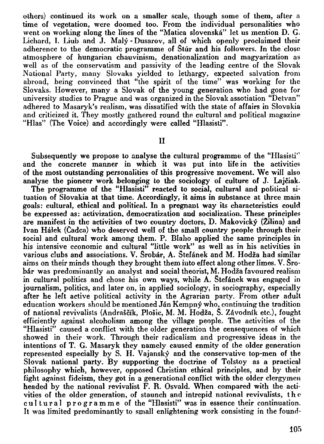**others) continued its work on a smaller scale, though some of them, after a time of vegetation, were doomed too. From the individual personalities who went on working along the lines of the "Matica slovenska" let us mention D. G. Lichard, I. Liub and J. Maly - Dusarov, all of which openly proclaimed their adherence to the democratic programme of Stiir and his followers. In the close atmosphere of hungarian chauvinism, denationalization and magyarization as well as of the conservatism and passivity of the leading centre of the Slovak National Party, many Slovaks yielded to lethargy, expected salvation from abroad, being convinced that "the spirit of the time" was working for the Slovaks. However, many a Slovak of the young generation who had gone for university studies to Prague and was organized in the Slovak assotiation "Detvan" adhered to Masaryk's realism, was dissatified with the state of affairs in Slovakia and criticized it. They mostly gathered round the cultural and political magazine "Hlas" (The Voice) and accordingly were called "Hlasisti".** 

## **II**

**Subsequently we propose to analyse the cultural programme of the "Hlasisti" and the concrete manner in which it was put into life in the activities of the most outstanding personalities of this progressive movement. We will also analyse the pioneer work belonging to the sociology of culture of J. Lajciak.** 

The programme of the "Hlasisti" reacted to social, cultural and political si**tuation of Slovakia at that time. Accordingly, it aims in substance at three main goals: cultural, ethical and political. In a pregnant way its characteristics could be expressed as: activization, democratization and socialization. These principles are manifest in the activities of two country doctors, D. Makovicky (Zilina) and Ivan Halek (Cadca) who deserved well of the small country people through their social and cultural work among them. P. Blaho applied the same principles in his intensive economic and cultural "little work" as well as in his activities in various clubs and associations. V. Srobar, A. Stefanek and M. Hodza had similar aims on their minds though they brought them into effect along other limes. V. Sro***b&r* **was predominantly an analyst and social theorist, M. Hodza favoured realism in cultural politics and chose his own ways, while A. Stefanek was engaged in journalism, politics, and later on, in applied sociology, in sociography, especially after he left active political activity in the Agrarian party. From other adult education workers should be mentioned Jan Kempny who, continuing the tradition of national revivalists (Andrascik, Plosic, M. M. Hodza, S. Zavodnfk etc.), fought efficiently against alcoholism among the village people. The activities of the "Hlasisti" caused a conflict with the older generation the censequences of which showed in their work. Through their radicalism and progressive ideas in the intentions of T. G. Masaryk they namely caused enmity of the older generation**  represented especially by S. H. Vajanský and the conservative top-men of the **Slovak national party. By supporting the doctrine of Tolstoy as a practical philosophy which, however, opposed Christian ethical principles, and by their fight against fideism, they got in a generational conflict with the older clergymen headed by the national revivalist F. R. Osvald. When compared with the activities of the older generation, of staunch and intrepid national revivalists, the cultura l programm e of the "Hlasisti" was in essence their continuation. It was limited predominantly to small enlightening work consisting in the found-**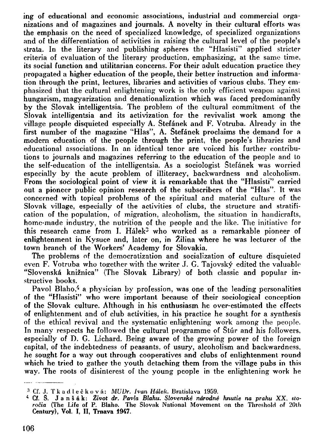**ing of educational and economic associations, industrial and commercial organizations and of magazines and journals. A novelty in their cultural efforts was the emphasis on the need of specialized knowledge, of specialized organizations and of the differentiation of activities in raising the cultural level of the people's strata. In the literary and publishing spheres the "Hlasisti" applied stricter criteria of evaluation of the literary production, emphasizing, at the same time, its social function and utilitarian concerns. For their adult education practice they propagated a higher education of the people, their better instruction and information through the print, lectures, libraries and activities of various clubs. They emphasized that the cultural enlightening work is the only efficient weapon against hungarism, magyarization and denationalization which was faced predominantly by the Slovak intelligentsia. The problem of the cultural commitment of the Slovak intelligentsia and its activizalion for the revivalist work among the village people disquieted especially A. Stefanek and F. Votruba. Already in the first number of the magazine "Hlas", A. Stefanek proclaims the demand for a modern education of the people through the print, the people's libraries and educational associations. In an identical tenor are voiced his further contributions to journals and magazines referring to the education of the people and to the self-education of the intelligentsia. As a sociologist Stefanek was worried especially by the acute problem of illiteracy, backwardness and alcoholism. From the sociological point of view it is remarkable that the "Hlasisti" carried out a pioneer public opinion research of the subscribers of the "Hlas". It was concerned with topical problems of the spiritual and material culture of the Slovak village, especially of the activities of clubs, the structure and stratification of the population, of migration, alcoholism, the situation in handicrafts, home-made industry, the nutrition of the people and the like. The initiative for this research came from I. Halek<sup>3</sup> who worked as a remarkable pioneer of enlightenment in Kysuce and, later on, in Zilina where he was lecturer of the town branch of the Workers' Academy for Slovakia.** 

**The problems of the democratization and socialization of culture disquieted**  even F. Votruba who together with the writer J. G. Tajovský edited the valuable **"Slovenska kniznica" (The Slovak Library) of both classic and popular instructive books.** 

**Pavol Blaho,<sup>4</sup> a physician by profession, was one of the leading personalities of the "Hlasisti" who were important because of their sociological conception of the Slovak culture. Although in his enthusiasm he over-estimated the effects of enlightenment and of club activities, in his practice he sought for a synthesis of the ethical revival and the systematic enlightening work among the people.**  In many respects he followed the cultural programme of Stur and his followers, **especially of D. G. Lichard. Being aware of the growing power of the foreign capital, of the indebtedness of peasants, of usury, alcoholism and backwardness, he sought for a way out through cooperatives and clubs of enlightenment round which he tried to gather the youth detaching them from the village pubs in this way. The roots of disinterest of the young people in the enlightening work he** 

**<sup>3</sup> Cf. J . Tkadleekova :** *MUDr. Ivan Hdlek.* **Bratislava 1959.** 

**<sup>4</sup> Cf. S. J a n s a k:** *Zivot dr. Pavla Blahu. Slovenske ndrodne hnutie na prahu XX. slorocia* **(The Life of P. Blaho. The Slovak National Movement on the Threshold of 20lh Century), Vol. I, II, Trnava 1947.**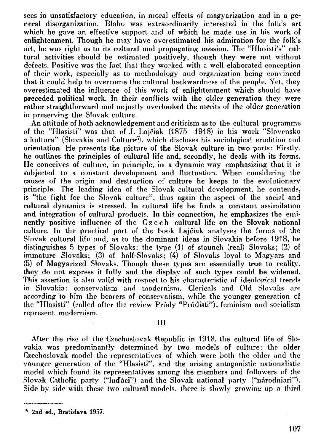**sees in unsatisfactory education, in moral effects of magyarizalion and in a general disorganization. Blaho was extraordinarily interested in the folk's art which he gave an effective support and of which he made use in his work of enlightenment. Though he may have overestimated his admiration for the folk's art, he was right as to its cultural and propagating mission. The "Hlasisti's" cultural activities should be estimated positively, though they were not without defects. Positive was the fact that they worked with a well elaborated conception of their work, especially as to methodology and organization being convinced that it could help to overcome the cultural backwardness of the people. Yet, they overestimated the influence of this work of enlightenment which should have preceded political work. In their conflicts with the older generation they were rather straightforward and unjustly overlooked the merits of the older generation in preserving the Slovak culture.** 

**An attitude of both acknowledgement and criticism as to the cultural programme of the "Hlasisli" was that of J. Lajciak (1875—1918) in his work "Slovensko a kultura" (Slovakia and Culture<sup>5</sup> ), which discloses his sociological erudition and orientation. He presents the picture of the Slovak culture in two parts: Firstly, he outlines the principles of cultural life and, secondly, he deals with its forms. He conceives of culture, in principle, in a dynamic way emphasizing that it is subjected to a constant development and fluctuation. When considering the causes of the origin and destruction of culture he keeps to the evolutionary principle. The leading idea of the Slovak cultural development, he contends, is "the fight for the Slovak culture", thus again the aspect of the social and cultural dynamics is stressed. In cultural life he finds a constant assimilation and integration of cultural products. In this connection, he emphasizes the eminently positive influence of the Czech cultural life on the Slovak national culture. In the practical part of the book Lajciak analyses the forms of the Slovak cultural life and, as to the dominant ideas in Slovakia before 1918, he distinguishes 5 types of Slovaks: the type (1) of staunch (real) Slovaks; (2) of immature Slovaks; (3) of half-Slovaks; (4) of Slovaks loyal to Magyars and (5) of Magyarized Slovaks. Though these types are essentially true to reality, they do not express it fully and the display of such types could be widened. This assertion is also valid with respect to his characteristic of ideological trends in Slovakia: conservatism and modernism. Clericals and Old Slovaks are according to him the bearers of conservatism, while the younger generation of**  the "Hlasisti" (called after the review Prudy "Prudisti"), feminism and socialism **represent modernism.** 

## **Ill**

After the rise of the Czechoslovak Republic in 1918, the cultural life of Slo**vakia was predominantly determined by two models of culture: the older Czechoslovak model the representatives of which were both the older and the younger generation of the "Hlasisti", and the arising antagonistic nationalistic model which found its representatives among the members and followers of the**  Slovak Catholic party ("lud<sup>"</sup>aci") and the Slovak national party ("narodniari"). **Side by side with these two cultural models, there is slowly growing up a third** 

**<sup>5</sup> 2nd ed., Bratislava 1957.**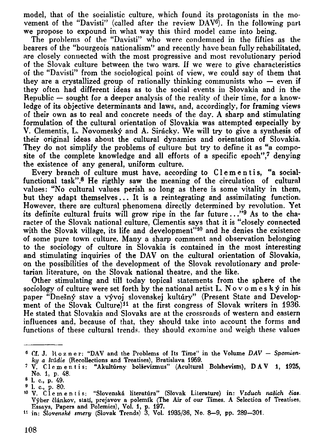**model, that of the socialistic culture, which found its protagonists in the movement of the "Davisti" (called after the review DAV<sup>e</sup> ). In the following part we propose to expound in what way this third model came into being.** 

**The problems of the "Davisti" who were condemned in the fifties as the bearers of the "bourgeois nationalism" and recently have bean fully rehabilitated, are closely connected with the most progressive and most revolutionary period of the Slovak culture between the two wars. If we were to give characteristics of the "Davisti" from the sociological point of view, we could say of them that they are a crystallized group of rationally thinking communists who — even if they often had different ideas as to the social events in Slovakia and in the Republic — sought for a deeper analysis of the reality of their time, for a knowledge of its objective determinants and laws, and, accordingly, for framing views of their own as to real and concrete needs of the day. A sharp and stimulating formulation of the cultural orientation of Slovakia was attempted especially by V. Clementis, L. Novomesky and A. Siracky. We will try to give a synthesis of their original ideas about the cultural dynamics and orientation of Slovakia. They do not simplify the problems of culture but try to define it as "a composite of the complete knowledge and all efforts of a specific epoch",<sup>7</sup> denying the existence of any general, uniform culture.** 

**Every branch of culture must have, according to Clementis, "a social**functional task".<sup>8</sup> He rigthly saw the meaning of the circulation of cultural **values: "No cultural values perish so long as there is some vitality in them, but they adapt themselves... It is a reintegrating and assimilating function. However, there are cultural phenomena directly determined by revolution. Yet its definite cultural fruits will grow ripe in the far future.. ."<sup>9</sup> As to the character of the Slovak national culture, Clementis says that it is "closely connected with the Slovak village, its life and development"<sup>10</sup> and he denies the existence of some pure town culture. Many a sharp comment and observation belonging to the sociology of culture in Slovakia is contained in the most interesting and stimulating inquiries of the DAV on the cultural orientation of Slovakia, on the possibilities of the development of the Slovak revolutionary and proletarian literature, on the Slovak national theatre, and the like.** 

**Other stimulating and till today topical statements from the sphere of the sociology of culture were set forth by the national artist L. N o v o m e s k y in his**  paper "Dnešný stav a vývoj slovenskej kultúry" (Present State and Develop**ment of the Slovak Culture)<sup>11</sup> at the first congress of Slovak writers in 1936. He stated that Slovakia and Slovaks are at the crossroads of western and eastern influences and, because of that, they should take into account the forms and functions of these cultural trends, they should examine and weigh these values** 

**<sup>6</sup> Cf. J . H o z n e r: "DAV and the Problems of Its Time" in the Volume** *DAV — Spomienky a Hildie* **(Recollections and Treatises), Bratislava 1959.** 

**<sup>7</sup> V . Clementis : "Akulturnv bolsevizmus" (Acultural Bolshevism), DA V 1, 1925, No. 1, p. 48.** 

**<sup>6</sup> 1. c, p. 49.** 

<sup>&</sup>lt;sup>9</sup> 1. c., p. 80*.*<br><sup>10</sup> V. Clementis: "Slovenská literatúra" (Slovak Literature) in: *Vzduch našich č*ias. **Vyber clankov, stati, prejavov a polemik (The Air of our Times. A Selection of Treatises. Essays, Papers and Polemics), Vol. 1, p. 197.** 

**<sup>1</sup> 1 in:** *Slovenskt smery* **(Slovak Trends) 3, Vol. 1935/36, No. 8-9, pp. 289-301.**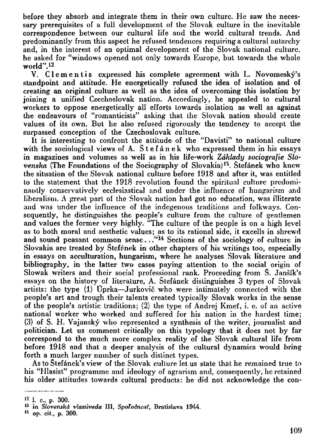**before they absorb and integrate them in their own culture. He saw the necessary prerequisites of a full development of the Slovak culture in the inevitable correspondence between our cultural life and the world cultural trends. And predominantly from this aspect he refused tendences requiring a cultural autarchy**  and, in the interest of an optimal development of the Slovak national culture, **he asked for "windows opened not only towards Europe, but towards the whole world".<sup>12</sup>**

**V. Clementis expressed his complete agreement with L. Novomesky's standpoint and attitude. He energetically refused the idea of isolation and of creating an original culture as well as the idea of overcoming this isolation by joining a unified Czechoslovak nation. Accordingly, he appealed to cultural workers to oppose energetically all efforts towards isolation as well as against the endeavours of "romanticists" asking that the Slovak nation should create values of its own. But he also refused rigorously the tendency to accept the surpassed conception of the Czechoslovak culture.** 

**It is interesting to confront the attitude of the "Davisti" to national culture**  with the sociological views of A. Stefanek who expressed them in his essays **in magazines and volumes as well as in his life-work** *Zdklady sociografie Slovenska* (The Foundations of the Sociography of Slovakia)<sup>13</sup>. Stefanek who knew **the situation of the Slovak national culture before 1918 and after it, was entitled to ihe statement that the 1918 revolution found the spiritual culture predominantly conservatively ecclesiastical and under the influence of hungarism and liberalism.** *A* **great part of the Slovak nation had got no education, was illiterate and was under the influence of the indegenous traditions and folkways. Consequently, he distinguishes the people's culture from the culture of gentlemen and values the former very highly. "The culture of the people is on a high level as to both moral and aesthetic values; as to its rational side, it excells in shrewd and sound peasant common sense.. ."<sup>1</sup> <sup>4</sup> Sections of the sociology of culture in**  Slovakia are treated by Stefének in other chapters of his writings too, especially **in essays on acculturation, hungarism, where he analyses Slovak literature and bibliography, in the latter two cases paying attention to the social origin of Slowak writers and their social professional rank. Proceeding from S. Jansik's essays on the history of literature, A. Stefanek distinguishes 3 types of Slovak artists: the type (1) Oprka—Jurkovic who were intimately connected with the people's art and trough their talents created typically Slovak works in the sense of the people's artistic traditions; (2) the type of Andrej Kmet, i. e. of an active national worker who worked and suffered for his nation in the hardest time; (3) of S. H. Vajansky who represented a synthesis of the writer, journalist and politician. Let us comment critically on this typology that it does not by far correspond to the much more complex reality of the Slovak cultural life from before 1918 and that a deeper analysis of the cultural dynamics would bring forth a much larger number of such distinct types.** 

**As to Stefanek's view of the Slovak culture let us state that he remained true to his "Hlasist" programme and ideology of agrarism and, consequently, he retained his older attitudes towards cultural products: he did not acknowledge the con-**

-------------**1 2 I. c, p. 300.** 

**M op. cit., p. 300.** 

**<sup>1</sup> 3 in** *Slovenskd vlastiveda* **III,** *Spolocnost,* **Bratislava 1944.**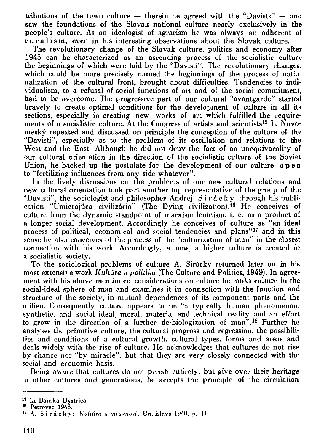**tributions of the town culture — therein he agreed with the "Davisls" — and saw the foundations of the Slovak national culture nearly exclusively in the people's culture. As an ideologist of agrarism he was always an adherent of r u r a 1 i s m, even in his interesting observations about the Slovak culture.** 

**The revolutionary change of the Slovak culture, politics and economy after 1945 can be characterized as an ascending process of the socialistic culture the beginnings of which were laid by the "Davisti". The revolutionary changes, which could be more precisely named the beginnings of the process of nationalization of the cultural front, brought about difficulties. Tendencies to individualism, to a refusal of social functions of art and of the social commitment, had to be overcome. The progressive part of our cultural "avantgarde" started bravely to create optimal conditions for the development of culture in all its sections, especially in creating new works of art which fulfilled the requirements of a socialistic culture. At the Congress of artists and scientists<sup>15</sup> L. Novomesky repeated and discussed on principle the conception of the culture of the "Davisti", especially as to the problem of its oscillation and relations to the West and the East. Although he did not deny the fact of an unequivocality of our cultural orientation in the direction of the socialistic culture of the Soviet Union, he backed up the postulate for the development of our culture open to "fertilizing influences from any side whatever".** 

**In the lively discussions on the problems of our new cultural relations and new cultural orientation took part another top representative of the group of the**  "Davisti", the sociologist and philosopher Andrej Sirácky through his publi**cation "Umierajuca civilizacia" (The Dying civilization).<sup>16</sup> He conceives of culture from the dynamic standpoint of marxism-leninism, i. e. as a product of a longer social development. Accordingly he conceives of culture as "an ideal process of political, economical and social tendencies and plans"<sup>17</sup> and in this sense he also conceives of the process of the "culturization of man" in the closest connection with his work. Accordingly, a new, a higher culture is created in a socialistic society.** 

**To the sociological problems of culture A. Siracky returned later on in his most extensive work** *Kultura a poiuika* **(The Culture and Politics, 1949). In agreement with his above mentioned considerations on culture he ranks culture in the social-ideal sphere of man and examines it in connection with the function and structure of the society, in mutual dependences of its component parts and the milieu. Consequently culture appears to be "a typically human phenomenon, synthetic, and social ideal, moral, material and technical reality and an effort to grow in the direction of a further de-biologizalion of man".<sup>18</sup> Further he analyses the primitive culture, the cultural progress and regression, the possibilities and conditions of a cultural growth, cultural types, forms and areas and deals widely with the rise of culture. He acknowledges that cultures do not rise**  by chance nor "by miracle", but that they are very closely connected with the **social and economic basis.** 

**Being aware that cultures do not perish entirely, but give over their heritage to other cultures and generations, he accepts the principle of the circulation** 

**<sup>1</sup> 5 in Banska Bystrica.** 

**<sup>1</sup> 6 Petrovec 1946.** 

**<sup>1</sup> 7 A. Siracky :** *Kultiirn n mravnost,* **Bratislava 1949, p. 11.**